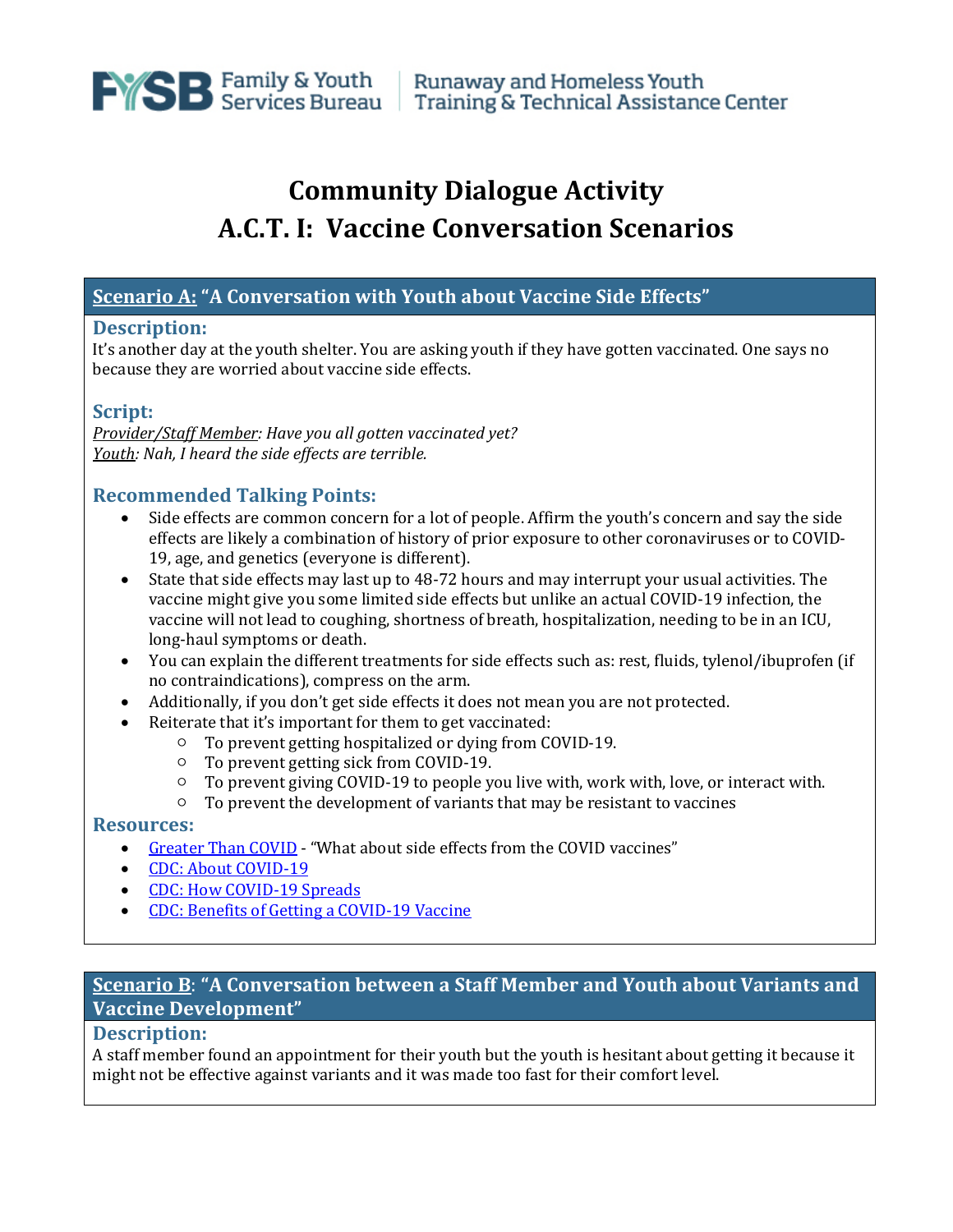

# **Community Dialogue Activity A.C.T. I: Vaccine Conversation Scenarios**

## **Scenario A: "A Conversation with Youth about Vaccine Side Effects"**

#### **Description:**

It's another day at the youth shelter. You are asking youth if they have gotten vaccinated. One says no because they are worried about vaccine side effects.

#### **Script:**

*Provider/Staff Member: Have you all gotten vaccinated yet? Youth: Nah, I heard the side effects are terrible.* 

## **Recommended Talking Points:**

- Side effects are common concern for a lot of people. Affirm the youth's concern and say the side effects are likely a combination of history of prior exposure to other coronaviruses or to COVID-19, age, and genetics (everyone is different).
- State that side effects may last up to 48-72 hours and may interrupt your usual activities. The vaccine might give you some limited side effects but unlike an actual COVID-19 infection, the vaccine will not lead to coughing, shortness of breath, hospitalization, needing to be in an ICU, long-haul symptoms or death.
- You can explain the different treatments for side effects such as: rest, fluids, tylenol/ibuprofen (if no contraindications), compress on the arm.
- Additionally, if you don't get side effects it does not mean you are not protected.
- Reiterate that it's important for them to get vaccinated:
	- To prevent getting hospitalized or dying from COVID-19.
	- To prevent getting sick from COVID-19.<br>○ To prevent giving COVID-19 to people ve
	- To prevent giving COVID-19 to people you live with, work with, love, or interact with.
	- To prevent the development of variants that may be resistant to vaccines

#### **Resources:**

- [Greater Than COVID](https://www.greaterthancovid.org/theconversation/) "What about side effects from the COVID vaccines"
- [CDC: About COVID-19](https://www.cdc.gov/coronavirus/2019-ncov/your-health/about-covid-19.html)
- [CDC: How COVID-19 Spreads](https://www.cdc.gov/coronavirus/2019-ncov/transmission/index.html)
- [CDC: Benefits of Getting a COVID-19 Vaccine](https://www.cdc.gov/coronavirus/2019-ncov/vaccines/vaccine-benefits.html)

# **Scenario B**: **"A Conversation between a Staff Member and Youth about Variants and Vaccine Development"**

#### **Description:**

A staff member found an appointment for their youth but the youth is hesitant about getting it because it might not be effective against variants and it was made too fast for their comfort level.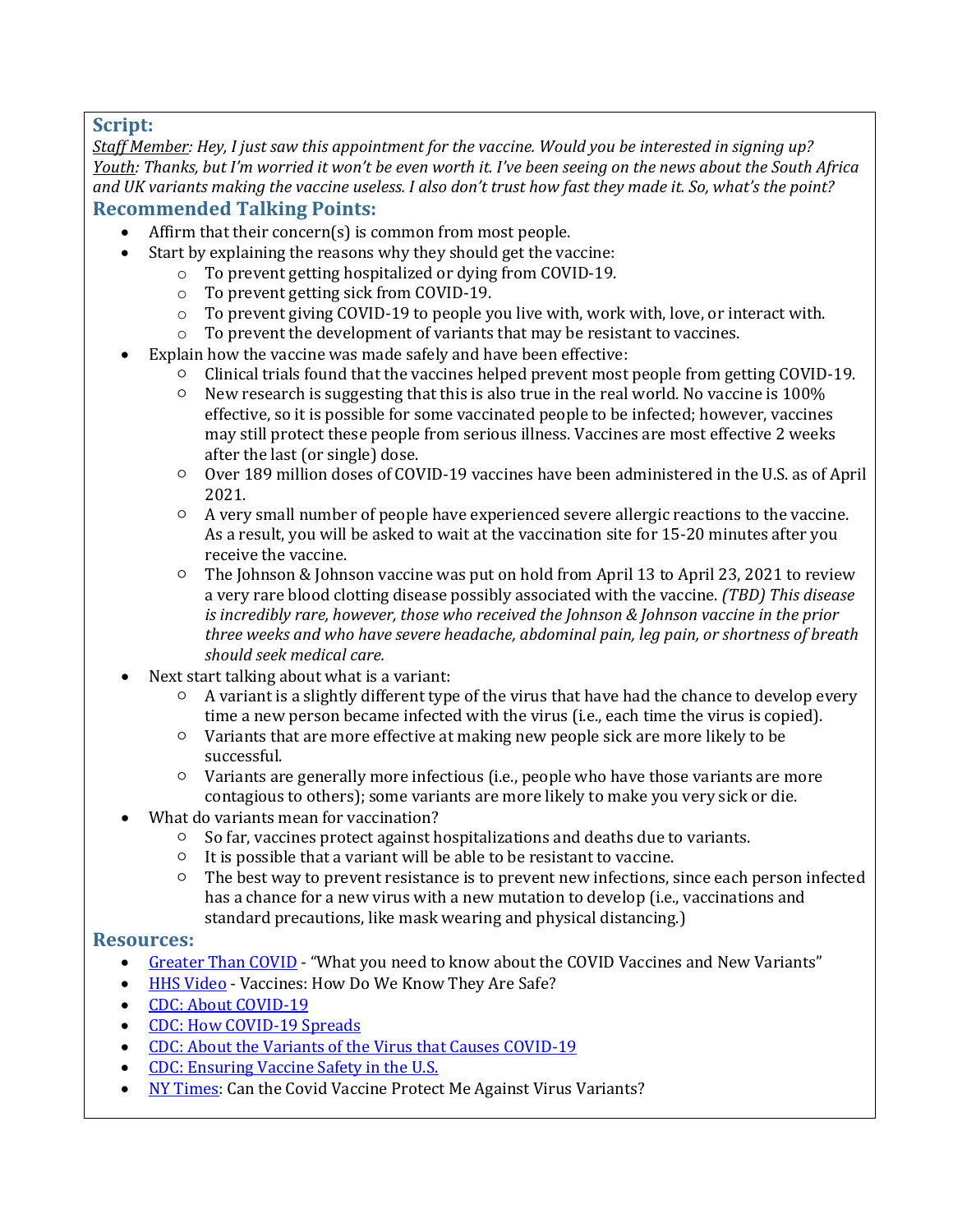## **Script:**

*Staff Member: Hey, I just saw this appointment for the vaccine. Would you be interested in signing up? Youth: Thanks, but I'm worried it won't be even worth it. I've been seeing on the news about the South Africa and UK variants making the vaccine useless. I also don't trust how fast they made it. So, what's the point?* **Recommended Talking Points:**

- Affirm that their concern(s) is common from most people.<br>• Start by explaining the reasons why they should get the va
	- Start by explaining the reasons why they should get the vaccine:
		- o To prevent getting hospitalized or dying from COVID-19.
			- o To prevent getting sick from COVID-19.
			- o To prevent giving COVID-19 to people you live with, work with, love, or interact with.
		- o To prevent the development of variants that may be resistant to vaccines.
- Explain how the vaccine was made safely and have been effective:
	- $\circ$  Clinical trials found that the vaccines helped prevent most people from getting COVID-19.<br>  $\circ$  New research is suggesting that this is also true in the real world. No vaccine is 100%
	- New research is suggesting that this is also true in the real world. No vaccine is  $100\%$ effective, so it is possible for some vaccinated people to be infected; however, vaccines may still protect these people from serious illness. Vaccines are most effective 2 weeks after the last (or single) dose.
	- Over 189 million doses of COVID-19 vaccines have been administered in the U.S. as of April 2021.
	- A very small number of people have experienced severe allergic reactions to the vaccine. As a result, you will be asked to wait at the vaccination site for 15-20 minutes after you receive the vaccine.
	- $\circ$  The Johnson & Johnson vaccine was put on hold from April 13 to April 23, 2021 to review a very rare blood clotting disease possibly associated with the vaccine. *(TBD) This disease is incredibly rare, however, those who received the Johnson & Johnson vaccine in the prior three weeks and who have severe headache, abdominal pain, leg pain, or shortness of breath should seek medical care.*
- Next start talking about what is a variant:
	- $\circ$  A variant is a slightly different type of the virus that have had the chance to develop every time a new person became infected with the virus (i.e., each time the virus is copied).
	- Variants that are more effective at making new people sick are more likely to be successful.
	- Variants are generally more infectious (i.e., people who have those variants are more contagious to others); some variants are more likely to make you very sick or die.
- What do variants mean for vaccination?
	- So far, vaccines protect against hospitalizations and deaths due to variants.<br>○ It is possible that a variant will be able to be resistant to vaccine.
	- It is possible that a variant will be able to be resistant to vaccine.<br>○ The best way to prevent resistance is to prevent new infections. s
	- The best way to prevent resistance is to prevent new infections, since each person infected has a chance for a new virus with a new mutation to develop (i.e., vaccinations and standard precautions, like mask wearing and physical distancing.)

## **Resources:**

- [Greater Than COVID](https://www.greaterthancovid.org/theconversation/) "What you need to know about the COVID Vaccines and New Variants"
- [HHS Video](https://www.youtube.com/watch?v=7bBmQaX2k4w) Vaccines: How Do We Know They Are Safe?
- [CDC: About COVID-19](https://www.cdc.gov/coronavirus/2019-ncov/your-health/about-covid-19.html)<br>• CDC: How COVID-19 S
- [CDC: How COVID-19 Spreads](https://www.cdc.gov/coronavirus/2019-ncov/transmission/index.html)
- [CDC: About the Variants of the Virus that Causes COVID-19](https://www.cdc.gov/coronavirus/2019-ncov/transmission/variant.html)
- [CDC: Ensuring Vaccine Safety in the U.S.](https://www.cdc.gov/coronavirus/2019-ncov/vaccines/safety.html)
- [NY Times:](https://www.nytimes.com/2021/04/15/well/live/covid-variants-vaccine.html?name=styln-coronavirus-live®ion=TOP_BANNER&block=storyline_menu_recirc&action=click&pgtype=LegacyCollection&variant=1_Show&is_new=false) Can the Covid Vaccine Protect Me Against Virus Variants?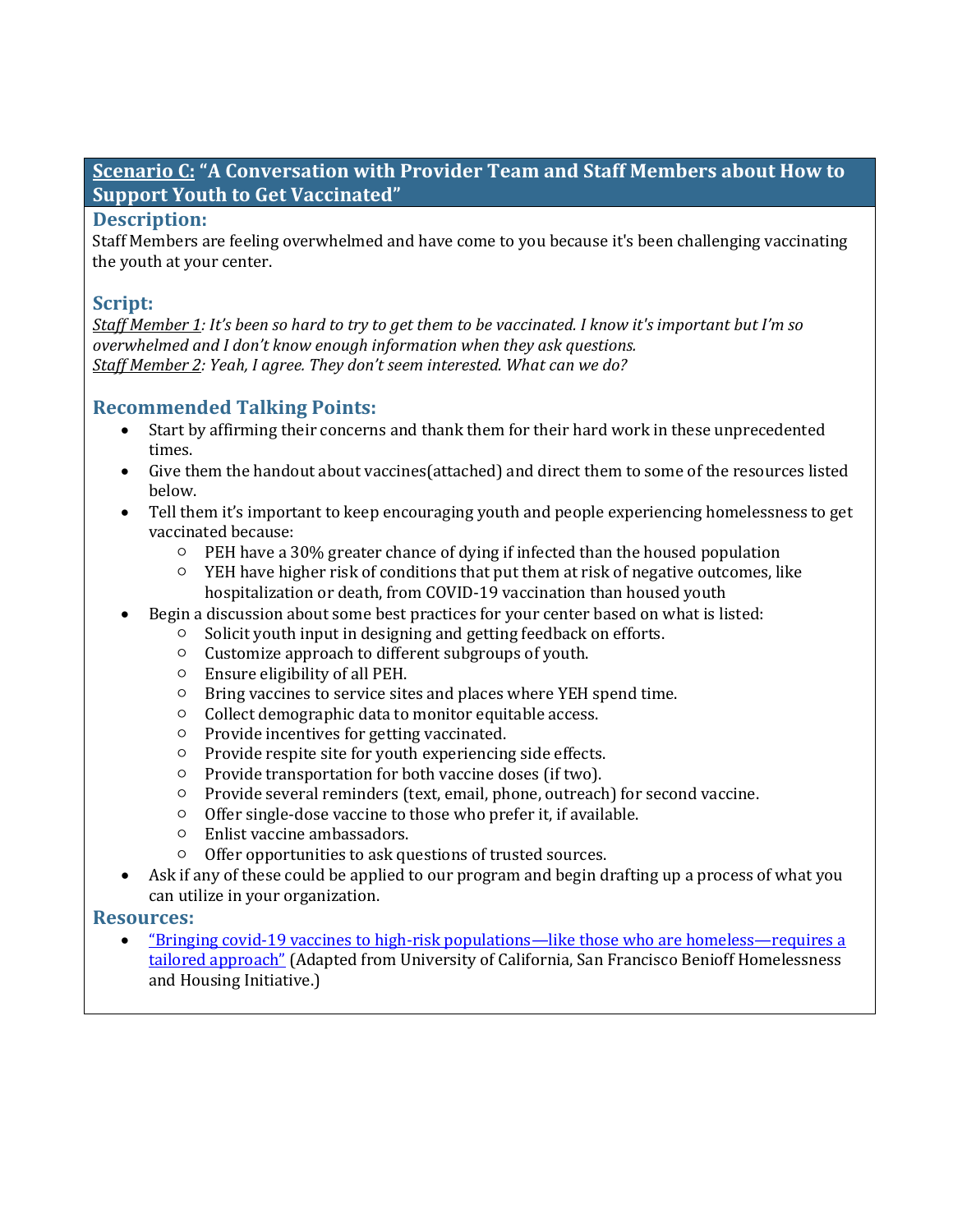# **Scenario C: "A Conversation with Provider Team and Staff Members about How to Support Youth to Get Vaccinated"**

### **Description:**

Staff Members are feeling overwhelmed and have come to you because it's been challenging vaccinating the youth at your center.

## **Script:**

*Staff Member 1: It's been so hard to try to get them to be vaccinated. I know it's important but I'm so overwhelmed and I don't know enough information when they ask questions. Staff Member 2: Yeah, I agree. They don't seem interested. What can we do?*

## **Recommended Talking Points:**

- Start by affirming their concerns and thank them for their hard work in these unprecedented times.
- Give them the handout about vaccines(attached) and direct them to some of the resources listed below.
- Tell them it's important to keep encouraging youth and people experiencing homelessness to get vaccinated because:
	- $\circ$  PEH have a 30% greater chance of dying if infected than the housed population
	- $\circ$  YEH have higher risk of conditions that put them at risk of negative outcomes, like hospitalization or death, from COVID-19 vaccination than housed youth
- Begin a discussion about some best practices for your center based on what is listed:
	- Solicit youth input in designing and getting feedback on efforts.<br>○ Customize approach to different subgroups of youth.
		- Customize approach to different subgroups of youth.
		- Ensure eligibility of all PEH.
		- Bring vaccines to service sites and places where YEH spend time.
		- Collect demographic data to monitor equitable access.
		- Provide incentives for getting vaccinated.
		- Provide respite site for youth experiencing side effects.
		- Provide transportation for both vaccine doses (if two).
		- Provide several reminders (text, email, phone, outreach) for second vaccine.
		- Offer single-dose vaccine to those who prefer it, if available.
		- Enlist vaccine ambassadors.
		- Offer opportunities to ask questions of trusted sources.
- Ask if any of these could be applied to our program and begin drafting up a process of what you can utilize in your organization.

## **Resources:**

• ["Bringing covid-19 vaccines to high-risk populations—like those who are homeless—requires a](https://blogs.bmj.com/bmj/2021/03/22/bringing-covid-19-vaccines-to-high-risk-populations-like-those-who-are-homeless-requires-a-tailored-approach/)  [tailored approach"](https://blogs.bmj.com/bmj/2021/03/22/bringing-covid-19-vaccines-to-high-risk-populations-like-those-who-are-homeless-requires-a-tailored-approach/) (Adapted from University of California, San Francisco Benioff Homelessness and Housing Initiative.)